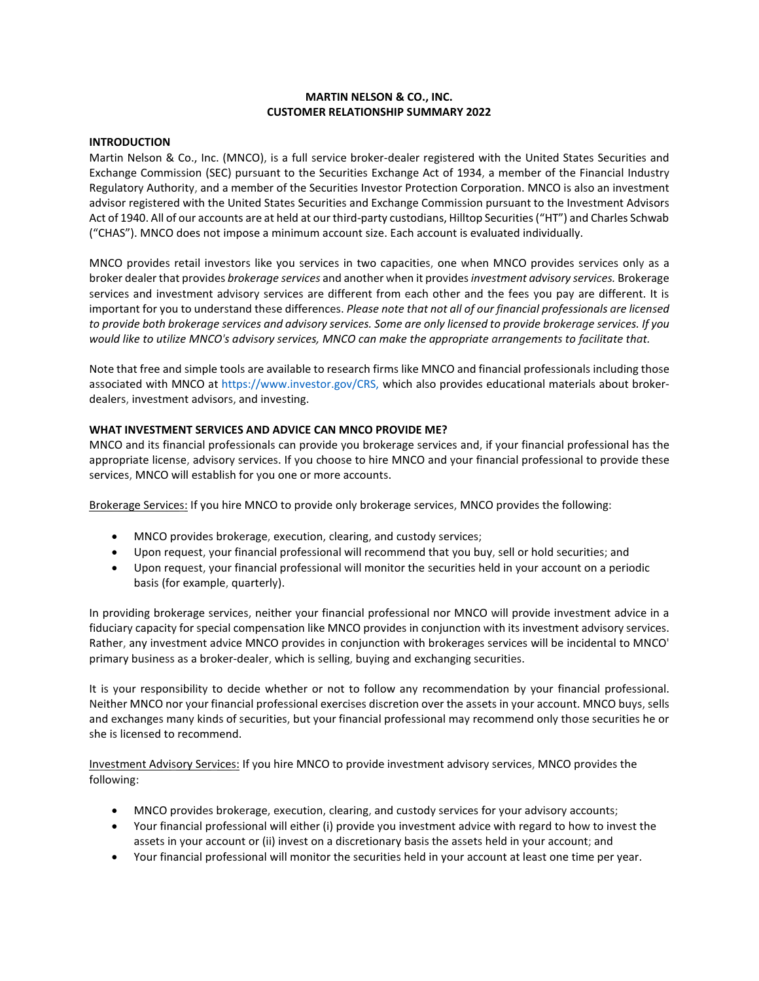## **MARTIN NELSON & CO., INC. CUSTOMER RELATIONSHIP SUMMARY 2022**

#### **INTRODUCTION**

Martin Nelson & Co., Inc. (MNCO), is a full service broker-dealer registered with the United States Securities and Exchange Commission (SEC) pursuant to the Securities Exchange Act of 1934, a member of the Financial Industry Regulatory Authority, and a member of the Securities Investor Protection Corporation. MNCO is also an investment advisor registered with the United States Securities and Exchange Commission pursuant to the Investment Advisors Act of 1940. All of our accounts are at held at our third-party custodians, Hilltop Securities ("HT") and Charles Schwab ("CHAS"). MNCO does not impose a minimum account size. Each account is evaluated individually.

MNCO provides retail investors like you services in two capacities, one when MNCO provides services only as a broker dealer that provides *brokerage services* and another when it provides *investment advisory services.* Brokerage services and investment advisory services are different from each other and the fees you pay are different. It is important for you to understand these differences. *Please note that not all of our financial professionals are licensed to provide both brokerage services and advisory services. Some are only licensed to provide brokerage services. If you would like to utilize MNCO's advisory services, MNCO can make the appropriate arrangements to facilitate that.*

Note that free and simple tools are available to research firms like MNCO and financial professionals including those associated with MNCO at https://www.investor.gov/CRS, which also provides educational materials about brokerdealers, investment advisors, and investing.

## **WHAT INVESTMENT SERVICES AND ADVICE CAN MNCO PROVIDE ME?**

MNCO and its financial professionals can provide you brokerage services and, if your financial professional has the appropriate license, advisory services. If you choose to hire MNCO and your financial professional to provide these services, MNCO will establish for you one or more accounts.

Brokerage Services: If you hire MNCO to provide only brokerage services, MNCO provides the following:

- MNCO provides brokerage, execution, clearing, and custody services;
- Upon request, your financial professional will recommend that you buy, sell or hold securities; and
- Upon request, your financial professional will monitor the securities held in your account on a periodic basis (for example, quarterly).

In providing brokerage services, neither your financial professional nor MNCO will provide investment advice in a fiduciary capacity for special compensation like MNCO provides in conjunction with its investment advisory services. Rather, any investment advice MNCO provides in conjunction with brokerages services will be incidental to MNCO' primary business as a broker-dealer, which is selling, buying and exchanging securities.

It is your responsibility to decide whether or not to follow any recommendation by your financial professional. Neither MNCO nor your financial professional exercises discretion over the assets in your account. MNCO buys, sells and exchanges many kinds of securities, but your financial professional may recommend only those securities he or she is licensed to recommend.

Investment Advisory Services: If you hire MNCO to provide investment advisory services, MNCO provides the following:

- MNCO provides brokerage, execution, clearing, and custody services for your advisory accounts;
- Your financial professional will either (i) provide you investment advice with regard to how to invest the assets in your account or (ii) invest on a discretionary basis the assets held in your account; and
- Your financial professional will monitor the securities held in your account at least one time per year.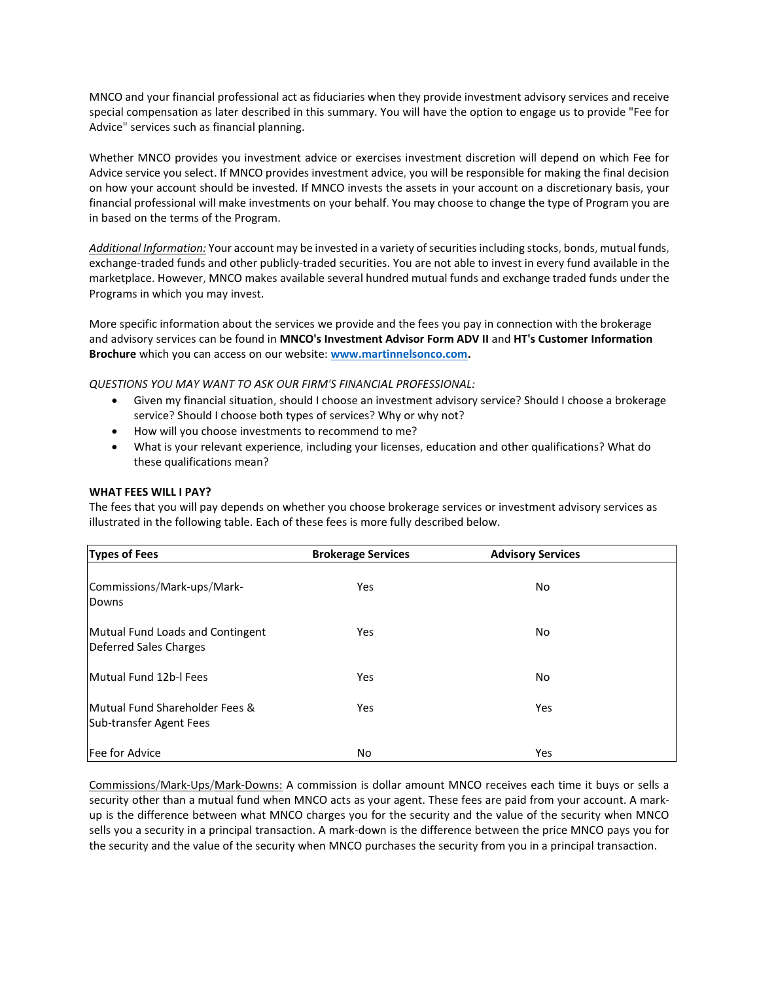MNCO and your financial professional act as fiduciaries when they provide investment advisory services and receive special compensation as later described in this summary. You will have the option to engage us to provide "Fee for Advice" services such as financial planning.

Whether MNCO provides you investment advice or exercises investment discretion will depend on which Fee for Advice service you select. If MNCO provides investment advice, you will be responsible for making the final decision on how your account should be invested. If MNCO invests the assets in your account on a discretionary basis, your financial professional will make investments on your behalf. You may choose to change the type of Program you are in based on the terms of the Program.

*Additional Information:* Your account may be invested in a variety of securities including stocks, bonds, mutual funds, exchange-traded funds and other publicly-traded securities. You are not able to invest in every fund available in the marketplace. However, MNCO makes available several hundred mutual funds and exchange traded funds under the Programs in which you may invest.

More specific information about the services we provide and the fees you pay in connection with the brokerage and advisory services can be found in **MNCO's Investment Advisor Form ADV II** and **HT's Customer Information Brochure** which you can access on our website: **[www.martinnelsonco.com.](http://www.martinnelsonco.com/)**

*QUESTIONS YOU MAY WANT TO ASK OUR FIRM'S FINANCIAL PROFESSIONAL:*

- Given my financial situation, should I choose an investment advisory service? Should I choose a brokerage service? Should I choose both types of services? Why or why not?
- How will you choose investments to recommend to me?
- What is your relevant experience, including your licenses, education and other qualifications? What do these qualifications mean?

#### **WHAT FEES WILL I PAY?**

The fees that you will pay depends on whether you choose brokerage services or investment advisory services as illustrated in the following table. Each of these fees is more fully described below.

| <b>Types of Fees</b>                                                  | <b>Brokerage Services</b> | <b>Advisory Services</b> |  |
|-----------------------------------------------------------------------|---------------------------|--------------------------|--|
| Commissions/Mark-ups/Mark-<br>Downs                                   | Yes                       | No                       |  |
| Mutual Fund Loads and Contingent<br>Deferred Sales Charges            | Yes                       | No                       |  |
| Mutual Fund 12b-I Fees                                                | Yes                       | No                       |  |
| <b>IMutual Fund Shareholder Fees &amp;</b><br>Sub-transfer Agent Fees | Yes                       | Yes                      |  |
| Fee for Advice                                                        | No                        | Yes                      |  |

Commissions/Mark-Ups/Mark-Downs: A commission is dollar amount MNCO receives each time it buys or sells a security other than a mutual fund when MNCO acts as your agent. These fees are paid from your account. A markup is the difference between what MNCO charges you for the security and the value of the security when MNCO sells you a security in a principal transaction. A mark-down is the difference between the price MNCO pays you for the security and the value of the security when MNCO purchases the security from you in a principal transaction.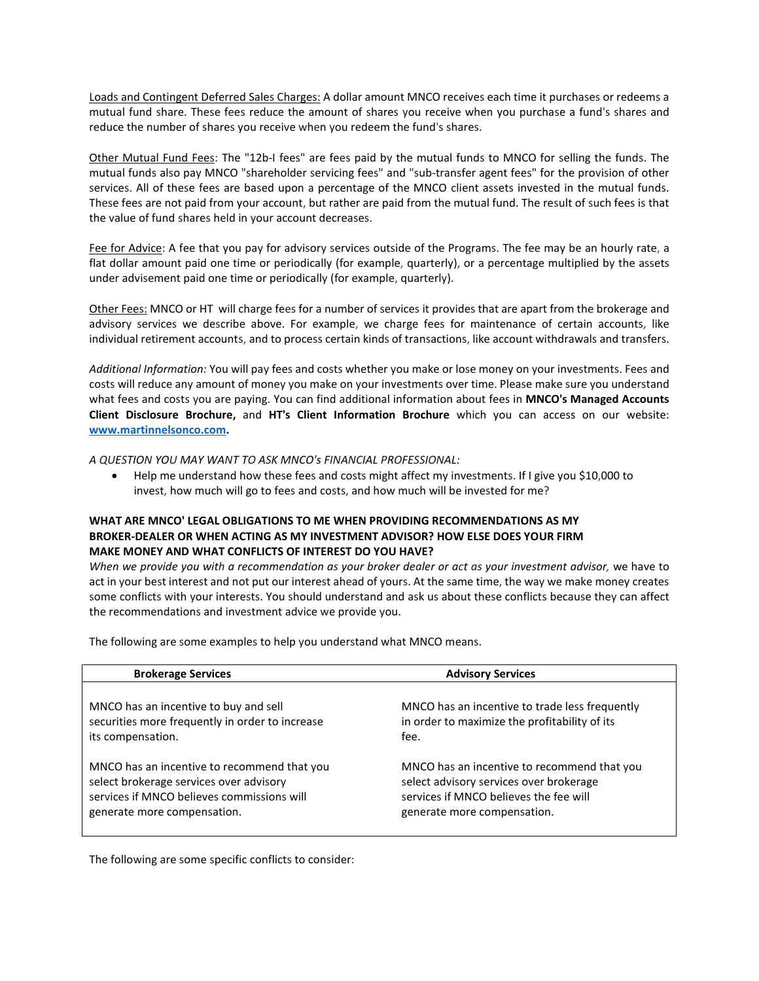Loads and Contingent Deferred Sales Charges: A dollar amount MNCO receives each time it purchases or redeems a mutual fund share. These fees reduce the amount of shares you receive when you purchase a fund's shares and reduce the number of shares you receive when you redeem the fund's shares.

Other Mutual Fund Fees: The "12b-I fees" are fees paid by the mutual funds to MNCO for selling the funds. The mutual funds also pay MNCO "shareholder servicing fees" and "sub-transfer agent fees" for the provision of other services. All of these fees are based upon a percentage of the MNCO client assets invested in the mutual funds. These fees are not paid from your account, but rather are paid from the mutual fund. The result of such fees is that the value of fund shares held in your account decreases.

Fee for Advice: A fee that you pay for advisory services outside of the Programs. The fee may be an hourly rate, a flat dollar amount paid one time or periodically (for example, quarterly), or a percentage multiplied by the assets under advisement paid one time or periodically (for example, quarterly).

Other Fees: MNCO or HT will charge fees for a number of services it provides that are apart from the brokerage and advisory services we describe above. For example, we charge fees for maintenance of certain accounts, like individual retirement accounts, and to process certain kinds of transactions, like account withdrawals and transfers.

*Additional Information:* You will pay fees and costs whether you make or lose money on your investments. Fees and costs will reduce any amount of money you make on your investments over time. Please make sure you understand what fees and costs you are paying. You can find additional information about fees in **MNCO's Managed Accounts Client Disclosure Brochure,** and **HT's Client Information Brochure** which you can access on our website: **[www.martinnelsonco.com.](http://www.martinnelsonco.com/)**

*A QUESTION YOU MAY WANT TO ASK MNCO's FINANCIAL PROFESSIONAL:*

• Help me understand how these fees and costs might affect my investments. If I give you \$10,000 to invest, how much will go to fees and costs, and how much will be invested for me?

## **WHAT ARE MNCO' LEGAL OBLIGATIONS TO ME WHEN PROVIDING RECOMMENDATIONS AS MY BROKER-DEALER OR WHEN ACTING AS MY INVESTMENT ADVISOR? HOW ELSE DOES YOUR FIRM MAKE MONEY AND WHAT CONFLICTS OF INTEREST DO YOU HAVE?**

*When we provide you with a recommendation as your broker dealer or act as your investment advisor,* we have to act in your best interest and not put our interest ahead of yours. At the same time, the way we make money creates some conflicts with your interests. You should understand and ask us about these conflicts because they can affect the recommendations and investment advice we provide you.

The following are some examples to help you understand what MNCO means.

| <b>Brokerage Services</b>                       | <b>Advisory Services</b>                       |
|-------------------------------------------------|------------------------------------------------|
| MNCO has an incentive to buy and sell           | MNCO has an incentive to trade less frequently |
| securities more frequently in order to increase | in order to maximize the profitability of its  |
| its compensation.                               | fee.                                           |
| MNCO has an incentive to recommend that you     | MNCO has an incentive to recommend that you    |
| select brokerage services over advisory         | select advisory services over brokerage        |
| services if MNCO believes commissions will      | services if MNCO believes the fee will         |
| generate more compensation.                     | generate more compensation.                    |

The following are some specific conflicts to consider: